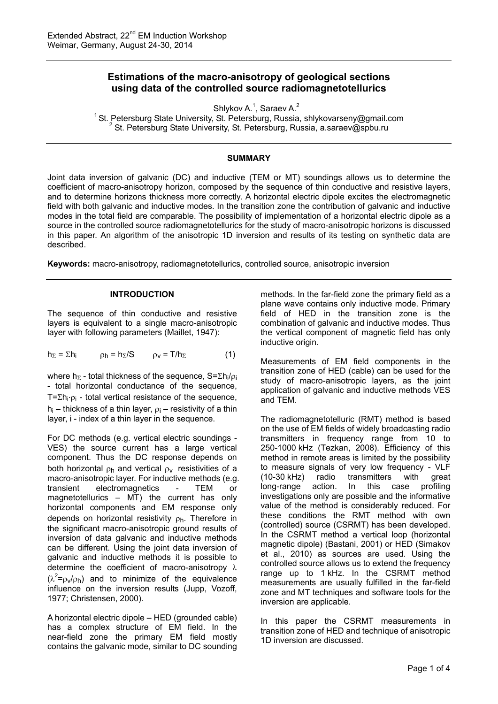# **Estimations of the macro-anisotropy of geological sections using data of the controlled source radiomagnetotellurics**

Shlykov A. $<sup>1</sup>$ , Saraev A. $<sup>2</sup>$ </sup></sup>

<sup>1</sup> St. Petersburg State University, St. Petersburg, Russia, shlykovarseny@gmail.com <sup>2</sup> St. Petersburg State University, St. Petersburg, Russia, a.saraev@spbu.ru

# **SUMMARY**

Joint data inversion of galvanic (DC) and inductive (TEM or MT) soundings allows us to determine the coefficient of macro-anisotropy horizon, composed by the sequence of thin conductive and resistive layers, and to determine horizons thickness more correctly. A horizontal electric dipole excites the electromagnetic field with both galvanic and inductive modes. In the transition zone the contribution of galvanic and inductive modes in the total field are comparable. The possibility of implementation of a horizontal electric dipole as a source in the controlled source radiomagnetotellurics for the study of macro-anisotropic horizons is discussed in this paper. An algorithm of the anisotropic 1D inversion and results of its testing on synthetic data are described.

**Keywords:** macro-anisotropy, radiomagnetotellurics, controlled source, anisotropic inversion

# **INTRODUCTION**

The sequence of thin conductive and resistive layers is equivalent to a single macro-anisotropic layer with following parameters (Maillet, 1947):

$$
h_{\Sigma} = \Sigma h_i \qquad \rho_h = h_{\Sigma} / S \qquad \rho_V = T / h_{\Sigma} \tag{1}
$$

where  $h_{\Sigma}$  - total thickness of the sequence,  $S=\Sigma h_i/\rho_i$ - total horizontal conductance of the sequence, T= $\sum h_i \cdot \rho_i$  - total vertical resistance of the sequence,  $h_i$  – thickness of a thin layer,  $\rho_i$  – resistivity of a thin layer, i - index of a thin layer in the sequence.

For DC methods (e.g. vertical electric soundings - VES) the source current has a large vertical component. Thus the DC response depends on both horizontal  $\rho_h$  and vertical  $\rho_v$  resistivities of a macro-anisotropic layer. For inductive methods (e.g. transient electromagnetics - TEM or magnetotellurics – MT) the current has only horizontal components and EM response only depends on horizontal resistivity  $\rho_h$ . Therefore in the significant macro-anisotropic ground results of inversion of data galvanic and inductive methods can be different. Using the joint data inversion of galvanic and inductive methods it is possible to determine the coefficient of macro-anisotropy  $\lambda$  $(\lambda^2 = \rho_v/\rho_h)$  and to minimize of the equivalence influence on the inversion results (Jupp, Vozoff, 1977; Christensen, 2000).

A horizontal electric dipole – HED (grounded cable) has a complex structure of EM field. In the near-field zone the primary EM field mostly contains the galvanic mode, similar to DC sounding

methods. In the far-field zone the primary field as a plane wave contains only inductive mode. Primary field of HED in the transition zone is the combination of galvanic and inductive modes. Thus the vertical component of magnetic field has only inductive origin.

Measurements of EM field components in the transition zone of HED (cable) can be used for the study of macro-anisotropic layers, as the joint application of galvanic and inductive methods VES and TEM.

The radiomagnetotelluric (RMT) method is based on the use of EM fields of widely broadcasting radio transmitters in frequency range from 10 to 250-1000 kHz (Tezkan, 2008). Efficiency of this method in remote areas is limited by the possibility to measure signals of very low frequency - VLF (10-30 kHz) radio transmitters with great long-range action. In this case profiling investigations only are possible and the informative value of the method is considerably reduced. For these conditions the RMT method with own (controlled) source (CSRMT) has been developed. In the CSRMT method a vertical loop (horizontal magnetic dipole) (Bastani, 2001) or HED (Simakov et al., 2010) as sources are used. Using the controlled source allows us to extend the frequency range up to 1 kHz. In the CSRMT method measurements are usually fulfilled in the far-field zone and MT techniques and software tools for the inversion are applicable.

In this paper the CSRMT measurements in transition zone of HED and technique of anisotropic 1D inversion are discussed.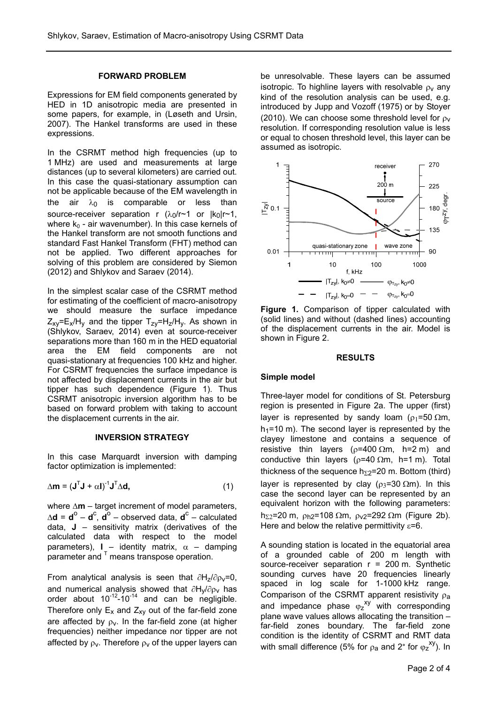#### **FORWARD PROBLEM**

Expressions for EM field components generated by HED in 1D anisotropic media are presented in some papers, for example, in (Løseth and Ursin, 2007). The Hankel transforms are used in these expressions.

In the CSRMT method high frequencies (up to 1 MHz) are used and measurements at large distances (up to several kilometers) are carried out. In this case the quasi-stationary assumption can not be applicable because of the EM wavelength in the air  $\lambda_0$  is comparable or less than source-receiver separation r  $(\lambda_0/r \sim 1$  or  $|k_0|r \sim 1$ , where  $k_0$  - air wavenumber). In this case kernels of the Hankel transform are not smooth functions and standard Fast Hankel Transform (FHT) method can not be applied. Two different approaches for solving of this problem are considered by Siemon (2012) and Shlykov and Saraev (2014).

In the simplest scalar case of the CSRMT method for estimating of the coefficient of macro-anisotropy we should measure the surface impedance  $Z_{xy} = E_x/H_y$  and the tipper  $T_{zy} = H_z/H_y$ . As shown in (Shlykov, Saraev, 2014) even at source-receiver separations more than 160 m in the HED equatorial area the EM field components are not quasi-stationary at frequencies 100 kHz and higher. For CSRMT frequencies the surface impedance is not affected by displacement currents in the air but tipper has such dependence (Figure 1). Thus CSRMT anisotropic inversion algorithm has to be based on forward problem with taking to account the displacement currents in the air.

#### **INVERSION STRATEGY**

In this case Marquardt inversion with damping factor optimization is implemented:

$$
\Delta \mathbf{m} = (\mathbf{J}^{\mathsf{T}} \mathbf{J} + \alpha \mathbf{I})^{\mathsf{T}} \mathbf{J}^{\mathsf{T}} \Delta \mathbf{d},\tag{1}
$$

where  $\Delta m$  – target increment of model parameters,  $\Delta$ **d** = **d**<sup>C</sup> – **d**<sup>C</sup> – observed data, **d**<sup>C</sup> – calculated data, **J** – sensitivity matrix (derivatives of the calculated data with respect to the model parameters),  $I -$  identity matrix,  $\alpha -$  damping parameter and  $T$  means transpose operation.

From analytical analysis is seen that  $\partial H_z/\partial \rho_V=0$ , and numerical analysis showed that  $\partial H_y/\partial \rho_V$  has order about  $10^{-12}$ -10<sup>-14</sup> and can be negligible. Therefore only  $E_x$  and  $Z_{xy}$  out of the far-field zone are affected by  $\rho_v$ . In the far-field zone (at higher frequencies) neither impedance nor tipper are not affected by  $\rho_v$ . Therefore  $\rho_v$  of the upper layers can

be unresolvable. These layers can be assumed isotropic. To highline layers with resolvable  $\rho_V$  any kind of the resolution analysis can be used, e.g. introduced by Jupp and Vozoff (1975) or by Stoyer (2010). We can choose some threshold level for  $\rho_V$ resolution. If corresponding resolution value is less or equal to chosen threshold level, this layer can be assumed as isotropic.



**Figure 1.** Comparison of tipper calculated with (solid lines) and without (dashed lines) accounting of the displacement currents in the air. Model is shown in Figure 2.

#### **RESULTS**

#### **Simple model**

Three-layer model for conditions of St. Petersburg region is presented in Figure 2a. The upper (first) layer is represented by sandy loam ( $\rho_1$ =50  $\Omega$ m,  $h_1$ =10 m). The second layer is represented by the clayey limestone and contains a sequence of resistive thin layers ( $\rho$ =400  $\Omega$ m, h=2 m) and conductive thin layers ( $\rho$ =40  $\Omega$ m, h=1 m). Total thickness of the sequence  $h_{\Sigma}$ =20 m. Bottom (third) layer is represented by clay ( $\rho_3$ =30  $\Omega$ m). In this case the second layer can be represented by an equivalent horizon with the following parameters: h<sub> $\Sigma$ 2</sub>=20 m,  $\rho_{h2}$ =108  $\Omega$ m,  $\rho_{V2}$ =292  $\Omega$ m (Figure 2b). Here and below the relative permittivity  $\varepsilon$ =6.

A sounding station is located in the equatorial area of a grounded cable of 200 m length with source-receiver separation  $r = 200$  m. Synthetic sounding curves have 20 frequencies linearly spaced in log scale for 1-1000 kHz range. Comparison of the CSRMT apparent resistivity  $\rho_a$ and impedance phase  $\varphi_z$ <sup>xy</sup> with corresponding plane wave values allows allocating the transition – far-field zones boundary. The far-field zone condition is the identity of CSRMT and RMT data with small difference (5% for  $\rho_a$  and 2° for  $\varphi_z$ <sup>xy</sup>). In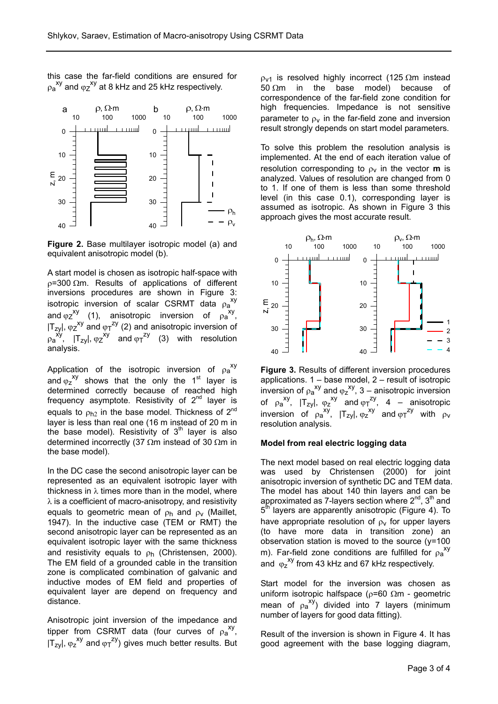this case the far-field conditions are ensured for  $\rho_{\mathsf{a}}^{\mathsf{xy}}$  and  $\varphi_{\mathsf{z}}^{\mathsf{xy}}$  at 8 kHz and 25 kHz respectively.



**Figure 2.** Base multilayer isotropic model (a) and equivalent anisotropic model (b).

A start model is chosen as isotropic half-space with  $p=300$   $\Omega$ m. Results of applications of different inversions procedures are shown in Figure 3: isotropic inversion of scalar CSRMT data  $\rho_a^{xy}$ and  $\varphi_Z^{xy}$  (1), anisotropic inversion of  $\rho_a^{xy}$ ,  $|T_{zy}|$ ,  $\varphi_Z^{xy}$  and  $\varphi_T^{zy}$  (2) and anisotropic inversion of  $\varphi_a^{xy}$ ,  $|T_{zy}|$ ,  $\varphi_z^{xy}$  and  $\varphi_T^{zy}$  (3) with resolution analysis.

Application of the isotropic inversion of  $\rho_a^{xy}$ and  $\varphi_z$ <sup>xy</sup> shows that the only the 1<sup>st</sup> layer is determined correctly because of reached high frequency asymptote. Resistivity of  $2^{nd}$  layer is equals to  $\rho_{h2}$  in the base model. Thickness of  $2^{nd}$ layer is less than real one (16 m instead of 20 m in the base model). Resistivity of  $3<sup>th</sup>$  layer is also determined incorrectly (37  $\Omega$ m instead of 30  $\Omega$ m in the base model).

In the DC case the second anisotropic layer can be represented as an equivalent isotropic layer with thickness in  $\lambda$  times more than in the model, where  $\lambda$  is a coefficient of macro-anisotropy, and resistivity equals to geometric mean of  $\rho_h$  and  $\rho_v$  (Maillet, 1947). In the inductive case (TEM or RMT) the second anisotropic layer can be represented as an equivalent isotropic layer with the same thickness and resistivity equals to  $\rho_h$  (Christensen, 2000). The EM field of a grounded cable in the transition zone is complicated combination of galvanic and inductive modes of EM field and properties of equivalent layer are depend on frequency and distance.

Anisotropic joint inversion of the impedance and tipper from CSRMT data (four curves of  $\rho_a^{xy}$ ,  $|T_{zy}|$ ,  $\varphi_z^{xy}$  and  $\varphi_T^{zy}$ ) gives much better results. But  $p_{V1}$  is resolved highly incorrect (125  $\Omega$ m instead 50  $\Omega$ m in the base model) because of correspondence of the far-field zone condition for high frequencies. Impedance is not sensitive parameter to  $\rho_v$  in the far-field zone and inversion result strongly depends on start model parameters.

To solve this problem the resolution analysis is implemented. At the end of each iteration value of resolution corresponding to  $\rho_v$  in the vector **m** is analyzed. Values of resolution are changed from 0 to 1. If one of them is less than some threshold level (in this case 0.1), corresponding layer is assumed as isotropic. As shown in Figure 3 this approach gives the most accurate result.



**Figure 3.** Results of different inversion procedures applications.  $1 -$  base model,  $2 -$  result of isotropic inversion of  $\rho_a^{xy}$  and  $\varphi_z^{xy}$ , 3 – anisotropic inversion of  $\rho_a^{xy}$ ,  $|T_{zy}|$ ,  $\varphi_z^{xy}$  and  $\varphi_T^{zy}$ , 4 – anisotropic inversion of  $\rho_a^{xy}$ ,  $|T_{zy}|$ ,  $\rho_z^{xy}$  and  $\rho_T^{zy}$  with  $\rho_v$ resolution analysis.

# **Model from real electric logging data**

The next model based on real electric logging data was used by Christensen (2000) for joint anisotropic inversion of synthetic DC and TEM data. The model has about 140 thin layers and can be approximated as 7-layers section where  $2^{nd}$ ,  $3^{th}$  and 5<sup>th</sup> layers are apparently anisotropic (Figure 4). To have appropriate resolution of  $\rho_V$  for upper layers (to have more data in transition zone) an observation station is moved to the source  $(y=100$ m). Far-field zone conditions are fulfilled for  $\rho_a^{xy}$ and  $\varphi$ <sub>z</sub><sup>xy</sup> from 43 kHz and 67 kHz respectively.

Start model for the inversion was chosen as uniform isotropic halfspace ( $\rho$ =60  $\Omega$ m - geometric mean of  $\rho_a^{xy}$ ) divided into 7 layers (minimum number of layers for good data fitting).

Result of the inversion is shown in Figure 4. It has good agreement with the base logging diagram,